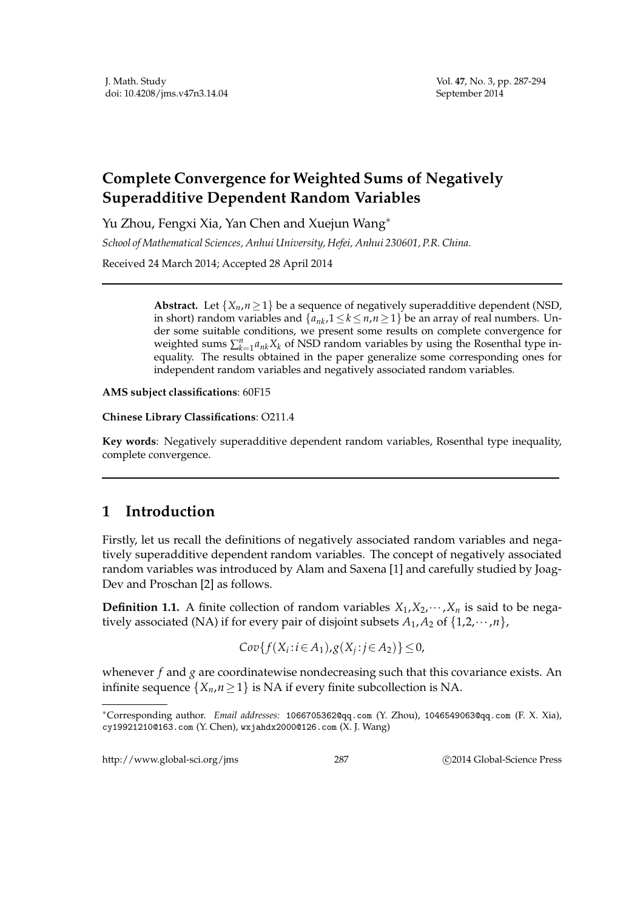## **Complete Convergence for Weighted Sums of Negatively Superadditive Dependent Random Variables**

Yu Zhou, Fengxi Xia, Yan Chen and Xuejun Wang∗

*School of Mathematical Sciences, Anhui University, Hefei, Anhui 230601, P.R. China.*

Received 24 March 2014; Accepted 28 April 2014

**Abstract.** Let  $\{X_n, n \geq 1\}$  be a sequence of negatively superadditive dependent (NSD, in short) random variables and  $\{a_{nk}, 1 \le k \le n, n \ge 1\}$  be an array of real numbers. Under some suitable conditions, we present some results on complete convergence for weighted sums  $\sum_{k=1}^{n} a_{nk} X_k$  of NSD random variables by using the Rosenthal type inequality. The results obtained in the paper generalize some corresponding ones for independent random variables and negatively associated random variables.

**AMS subject classifications**: 60F15

## **Chinese Library Classifications**: O211.4

**Key words**: Negatively superadditive dependent random variables, Rosenthal type inequality, complete convergence.

## **1 Introduction**

Firstly, let us recall the definitions of negatively associated random variables and negatively superadditive dependent random variables. The concept of negatively associated random variables was introduced by Alam and Saxena [1] and carefully studied by Joag-Dev and Proschan [2] as follows.

**Definition 1.1.** A finite collection of random variables  $X_1, X_2, \dots, X_n$  is said to be negatively associated (NA) if for every pair of disjoint subsets  $A_1, A_2$  of  $\{1,2,\dots,n\}$ ,

$$
Cov{f(Xi:i\in A1),g(Xj:j\in A2)}\leq 0,
$$

whenever *f* and *g* are coordinatewise nondecreasing such that this covariance exists. An infinite sequence  $\{X_n, n \geq 1\}$  is NA if every finite subcollection is NA.

http://www.global-sci.org/jms 287 
287 
C 2014 Global-Science Press

<sup>∗</sup>Corresponding author. *Email addresses:* 1066705362@qq.com (Y. Zhou), 1046549063@qq.com (F. X. Xia), cy19921210@163.com (Y. Chen), wxjahdx2000@126.com (X. J. Wang)